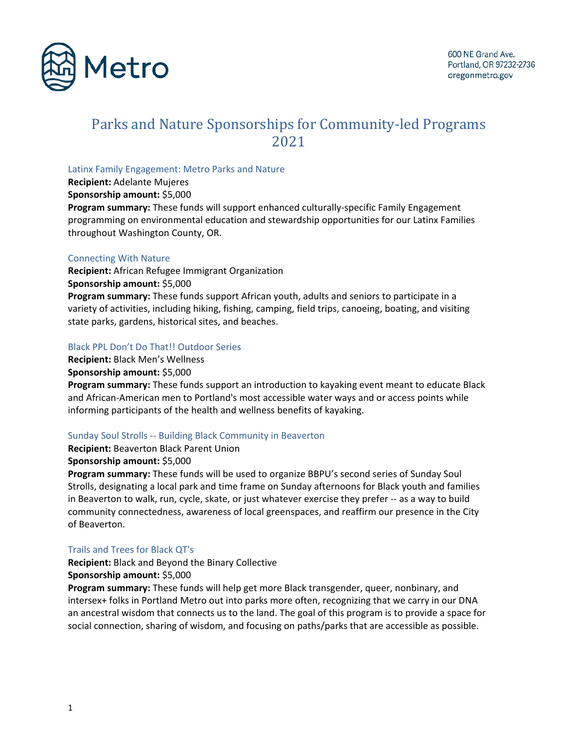

# Parks and Nature Sponsorships for Community-led Programs 2021

#### Latinx Family Engagement: Metro Parks and Nature

**Recipient:** Adelante Mujeres

**Sponsorship amount:** \$5,000

**Program summary:** These funds will support enhanced culturally-specific Family Engagement programming on environmental education and stewardship opportunities for our Latinx Families throughout Washington County, OR.

## Connecting With Nature

**Recipient:** African Refugee Immigrant Organization **Sponsorship amount:** \$5,000 **Program summary:** These funds support African youth, adults and seniors to participate in a variety of activities, including hiking, fishing, camping, field trips, canoeing, boating, and visiting state parks, gardens, historical sites, and beaches.

## Black PPL Don't Do That!! Outdoor Series

**Recipient:** Black Men's Wellness

**Sponsorship amount:** \$5,000

**Program summary:** These funds support an introduction to kayaking event meant to educate Black and African-American men to Portland's most accessible water ways and or access points while informing participants of the health and wellness benefits of kayaking.

## Sunday Soul Strolls -- Building Black Community in Beaverton

**Recipient:** Beaverton Black Parent Union

**Sponsorship amount:** \$5,000

**Program summary:** These funds will be used to organize BBPU's second series of Sunday Soul Strolls, designating a local park and time frame on Sunday afternoons for Black youth and families in Beaverton to walk, run, cycle, skate, or just whatever exercise they prefer -- as a way to build community connectedness, awareness of local greenspaces, and reaffirm our presence in the City of Beaverton.

## Trails and Trees for Black QT's

**Recipient:** Black and Beyond the Binary Collective **Sponsorship amount:** \$5,000

**Program summary:** These funds will help get more Black transgender, queer, nonbinary, and intersex+ folks in Portland Metro out into parks more often, recognizing that we carry in our DNA an ancestral wisdom that connects us to the land. The goal of this program is to provide a space for social connection, sharing of wisdom, and focusing on paths/parks that are accessible as possible.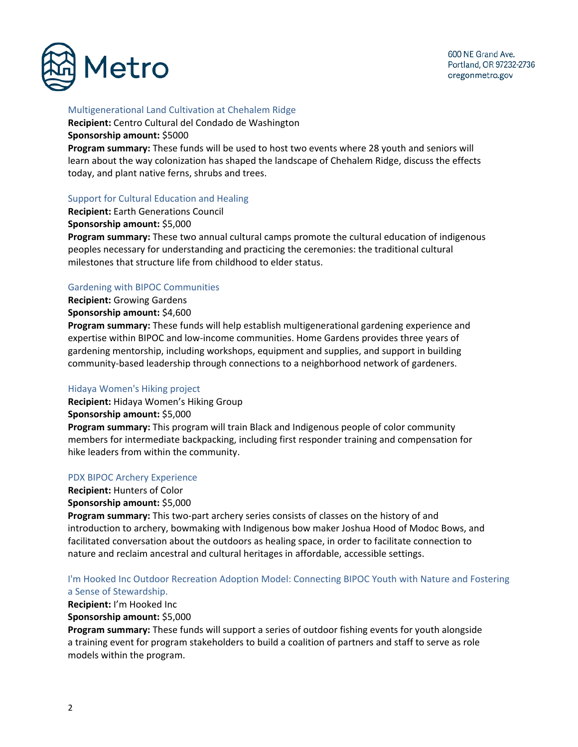

## Multigenerational Land Cultivation at Chehalem Ridge

**Recipient:** Centro Cultural del Condado de Washington **Sponsorship amount:** \$5000

**Program summary:** These funds will be used to host two events where 28 youth and seniors will learn about the way colonization has shaped the landscape of Chehalem Ridge, discuss the effects today, and plant native ferns, shrubs and trees.

## Support for Cultural Education and Healing

**Recipient:** Earth Generations Council

**Sponsorship amount:** \$5,000

**Program summary:** These two annual cultural camps promote the cultural education of indigenous peoples necessary for understanding and practicing the ceremonies: the traditional cultural milestones that structure life from childhood to elder status.

## Gardening with BIPOC Communities

**Recipient:** Growing Gardens **Sponsorship amount:** \$4,600

**Program summary:** These funds will help establish multigenerational gardening experience and expertise within BIPOC and low-income communities. Home Gardens provides three years of gardening mentorship, including workshops, equipment and supplies, and support in building community-based leadership through connections to a neighborhood network of gardeners.

## Hidaya Women's Hiking project

**Recipient:** Hidaya Women's Hiking Group **Sponsorship amount:** \$5,000 **Program summary:** This program will train Black and Indigenous people of color community members for intermediate backpacking, including first responder training and compensation for hike leaders from within the community.

#### PDX BIPOC Archery Experience

**Recipient:** Hunters of Color **Sponsorship amount:** \$5,000

**Program summary:** This two-part archery series consists of classes on the history of and introduction to archery, bowmaking with Indigenous bow maker Joshua Hood of Modoc Bows, and facilitated conversation about the outdoors as healing space, in order to facilitate connection to nature and reclaim ancestral and cultural heritages in affordable, accessible settings.

## I'm Hooked Inc Outdoor Recreation Adoption Model: Connecting BIPOC Youth with Nature and Fostering a Sense of Stewardship.

## **Recipient:** I'm Hooked Inc

## **Sponsorship amount:** \$5,000

**Program summary:** These funds will support a series of outdoor fishing events for youth alongside a training event for program stakeholders to build a coalition of partners and staff to serve as role models within the program.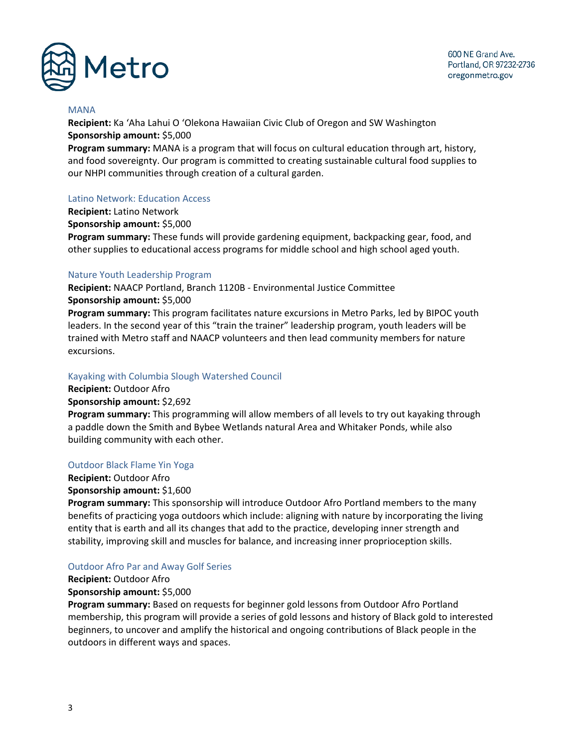

#### MANA

**Recipient:** Ka ʻAha Lahui O ʻOlekona Hawaiian Civic Club of Oregon and SW Washington **Sponsorship amount:** \$5,000

**Program summary:** MANA is a program that will focus on cultural education through art, history, and food sovereignty. Our program is committed to creating sustainable cultural food supplies to our NHPI communities through creation of a cultural garden.

#### Latino Network: Education Access

**Recipient:** Latino Network **Sponsorship amount:** \$5,000 **Program summary:** These funds will provide gardening equipment, backpacking gear, food, and other supplies to educational access programs for middle school and high school aged youth.

#### Nature Youth Leadership Program

**Recipient:** NAACP Portland, Branch 1120B - Environmental Justice Committee **Sponsorship amount:** \$5,000 **Program summary:** This program facilitates nature excursions in Metro Parks, led by BIPOC youth leaders. In the second year of this "train the trainer" leadership program, youth leaders will be trained with Metro staff and NAACP volunteers and then lead community members for nature excursions.

#### Kayaking with Columbia Slough Watershed Council

**Recipient:** Outdoor Afro **Sponsorship amount:** \$2,692

**Program summary:** This programming will allow members of all levels to try out kayaking through a paddle down the Smith and Bybee Wetlands natural Area and Whitaker Ponds, while also building community with each other.

#### Outdoor Black Flame Yin Yoga

#### **Recipient:** Outdoor Afro

#### **Sponsorship amount:** \$1,600

**Program summary:** This sponsorship will introduce Outdoor Afro Portland members to the many benefits of practicing yoga outdoors which include: aligning with nature by incorporating the living entity that is earth and all its changes that add to the practice, developing inner strength and stability, improving skill and muscles for balance, and increasing inner proprioception skills.

#### Outdoor Afro Par and Away Golf Series

**Recipient:** Outdoor Afro

#### **Sponsorship amount:** \$5,000

**Program summary:** Based on requests for beginner gold lessons from Outdoor Afro Portland membership, this program will provide a series of gold lessons and history of Black gold to interested beginners, to uncover and amplify the historical and ongoing contributions of Black people in the outdoors in different ways and spaces.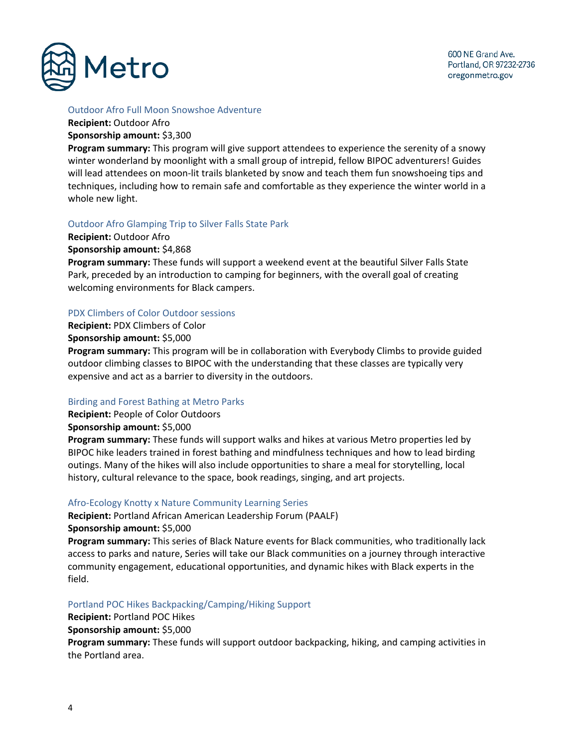

## Outdoor Afro Full Moon Snowshoe Adventure

**Recipient:** Outdoor Afro

## **Sponsorship amount:** \$3,300

**Program summary:** This program will give support attendees to experience the serenity of a snowy winter wonderland by moonlight with a small group of intrepid, fellow BIPOC adventurers! Guides will lead attendees on moon-lit trails blanketed by snow and teach them fun snowshoeing tips and techniques, including how to remain safe and comfortable as they experience the winter world in a whole new light.

## Outdoor Afro Glamping Trip to Silver Falls State Park

**Recipient:** Outdoor Afro

#### **Sponsorship amount:** \$4,868

**Program summary:** These funds will support a weekend event at the beautiful Silver Falls State Park, preceded by an introduction to camping for beginners, with the overall goal of creating welcoming environments for Black campers.

## PDX Climbers of Color Outdoor sessions

**Recipient:** PDX Climbers of Color

**Sponsorship amount:** \$5,000

**Program summary:** This program will be in collaboration with Everybody Climbs to provide guided outdoor climbing classes to BIPOC with the understanding that these classes are typically very expensive and act as a barrier to diversity in the outdoors.

## Birding and Forest Bathing at Metro Parks

**Recipient:** People of Color Outdoors

**Sponsorship amount:** \$5,000

**Program summary:** These funds will support walks and hikes at various Metro properties led by BIPOC hike leaders trained in forest bathing and mindfulness techniques and how to lead birding outings. Many of the hikes will also include opportunities to share a meal for storytelling, local history, cultural relevance to the space, book readings, singing, and art projects.

## Afro-Ecology Knotty x Nature Community Learning Series

**Recipient:** Portland African American Leadership Forum (PAALF) **Sponsorship amount:** \$5,000

**Program summary:** This series of Black Nature events for Black communities, who traditionally lack access to parks and nature, Series will take our Black communities on a journey through interactive community engagement, educational opportunities, and dynamic hikes with Black experts in the field.

## Portland POC Hikes Backpacking/Camping/Hiking Support

**Recipient:** Portland POC Hikes

**Sponsorship amount:** \$5,000

**Program summary:** These funds will support outdoor backpacking, hiking, and camping activities in the Portland area.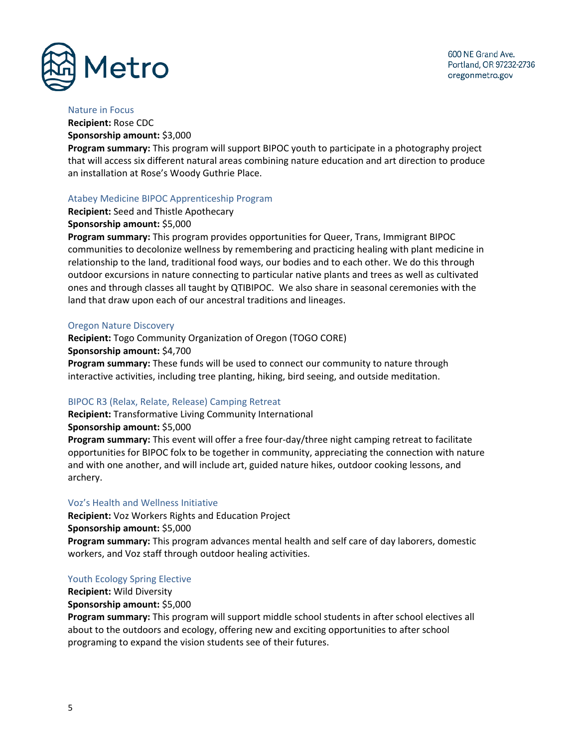



#### Nature in Focus

**Recipient:** Rose CDC **Sponsorship amount:** \$3,000

**Program summary:** This program will support BIPOC youth to participate in a photography project that will access six different natural areas combining nature education and art direction to produce an installation at Rose's Woody Guthrie Place.

## Atabey Medicine BIPOC Apprenticeship Program

**Recipient:** Seed and Thistle Apothecary

## **Sponsorship amount:** \$5,000

**Program summary:** This program provides opportunities for Queer, Trans, Immigrant BIPOC communities to decolonize wellness by remembering and practicing healing with plant medicine in relationship to the land, traditional food ways, our bodies and to each other. We do this through outdoor excursions in nature connecting to particular native plants and trees as well as cultivated ones and through classes all taught by QTIBIPOC. We also share in seasonal ceremonies with the land that draw upon each of our ancestral traditions and lineages.

## Oregon Nature Discovery

**Recipient:** Togo Community Organization of Oregon (TOGO CORE) **Sponsorship amount:** \$4,700 **Program summary:** These funds will be used to connect our community to nature through interactive activities, including tree planting, hiking, bird seeing, and outside meditation.

## BIPOC R3 (Relax, Relate, Release) Camping Retreat

**Recipient:** Transformative Living Community International

**Sponsorship amount:** \$5,000

**Program summary:** This event will offer a free four-day/three night camping retreat to facilitate opportunities for BIPOC folx to be together in community, appreciating the connection with nature and with one another, and will include art, guided nature hikes, outdoor cooking lessons, and archery.

## Voz's Health and Wellness Initiative

**Recipient:** Voz Workers Rights and Education Project **Sponsorship amount:** \$5,000 **Program summary:** This program advances mental health and self care of day laborers, domestic workers, and Voz staff through outdoor healing activities.

## Youth Ecology Spring Elective

**Recipient:** Wild Diversity **Sponsorship amount:** \$5,000

**Program summary:** This program will support middle school students in after school electives all about to the outdoors and ecology, offering new and exciting opportunities to after school programing to expand the vision students see of their futures.